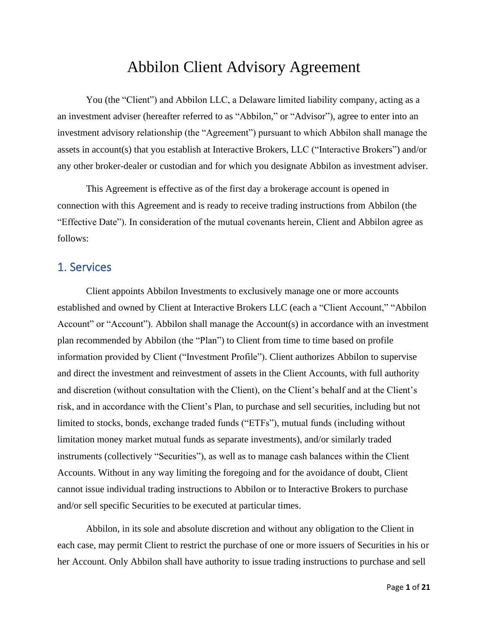# Abbilon Client Advisory Agreement

You (the "Client") and Abbilon LLC, a Delaware limited liability company, acting as a an investment adviser (hereafter referred to as "Abbilon," or "Advisor"), agree to enter into an investment advisory relationship (the "Agreement") pursuant to which Abbilon shall manage the assets in account(s) that you establish at Interactive Brokers, LLC ("Interactive Brokers") and/or any other broker-dealer or custodian and for which you designate Abbilon as investment adviser.

This Agreement is effective as of the first day a brokerage account is opened in connection with this Agreement and is ready to receive trading instructions from Abbilon (the "Effective Date"). In consideration of the mutual covenants herein, Client and Abbilon agree as follows:

### 1. Services

Client appoints Abbilon Investments to exclusively manage one or more accounts established and owned by Client at Interactive Brokers LLC (each a "Client Account," "Abbilon Account" or "Account"). Abbilon shall manage the Account(s) in accordance with an investment plan recommended by Abbilon (the "Plan") to Client from time to time based on profile information provided by Client ("Investment Profile"). Client authorizes Abbilon to supervise and direct the investment and reinvestment of assets in the Client Accounts, with full authority and discretion (without consultation with the Client), on the Client's behalf and at the Client's risk, and in accordance with the Client's Plan, to purchase and sell securities, including but not limited to stocks, bonds, exchange traded funds ("ETFs"), mutual funds (including without limitation money market mutual funds as separate investments), and/or similarly traded instruments (collectively "Securities"), as well as to manage cash balances within the Client Accounts. Without in any way limiting the foregoing and for the avoidance of doubt, Client cannot issue individual trading instructions to Abbilon or to Interactive Brokers to purchase and/or sell specific Securities to be executed at particular times.

Abbilon, in its sole and absolute discretion and without any obligation to the Client in each case, may permit Client to restrict the purchase of one or more issuers of Securities in his or her Account. Only Abbilon shall have authority to issue trading instructions to purchase and sell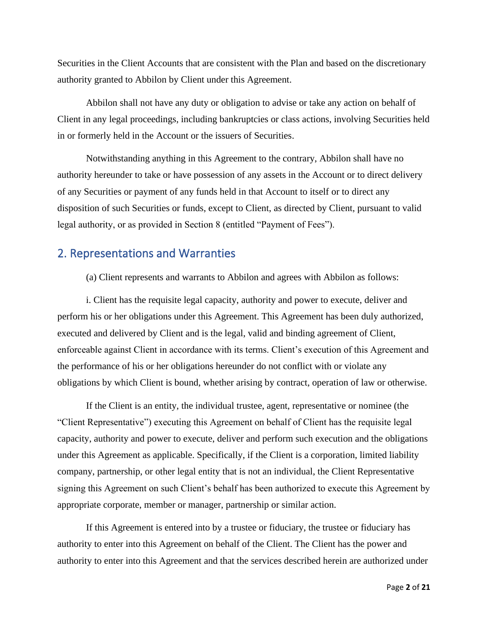Securities in the Client Accounts that are consistent with the Plan and based on the discretionary authority granted to Abbilon by Client under this Agreement.

Abbilon shall not have any duty or obligation to advise or take any action on behalf of Client in any legal proceedings, including bankruptcies or class actions, involving Securities held in or formerly held in the Account or the issuers of Securities.

Notwithstanding anything in this Agreement to the contrary, Abbilon shall have no authority hereunder to take or have possession of any assets in the Account or to direct delivery of any Securities or payment of any funds held in that Account to itself or to direct any disposition of such Securities or funds, except to Client, as directed by Client, pursuant to valid legal authority, or as provided in Section 8 (entitled "Payment of Fees").

### 2. Representations and Warranties

(a) Client represents and warrants to Abbilon and agrees with Abbilon as follows:

i. Client has the requisite legal capacity, authority and power to execute, deliver and perform his or her obligations under this Agreement. This Agreement has been duly authorized, executed and delivered by Client and is the legal, valid and binding agreement of Client, enforceable against Client in accordance with its terms. Client's execution of this Agreement and the performance of his or her obligations hereunder do not conflict with or violate any obligations by which Client is bound, whether arising by contract, operation of law or otherwise.

If the Client is an entity, the individual trustee, agent, representative or nominee (the "Client Representative") executing this Agreement on behalf of Client has the requisite legal capacity, authority and power to execute, deliver and perform such execution and the obligations under this Agreement as applicable. Specifically, if the Client is a corporation, limited liability company, partnership, or other legal entity that is not an individual, the Client Representative signing this Agreement on such Client's behalf has been authorized to execute this Agreement by appropriate corporate, member or manager, partnership or similar action.

If this Agreement is entered into by a trustee or fiduciary, the trustee or fiduciary has authority to enter into this Agreement on behalf of the Client. The Client has the power and authority to enter into this Agreement and that the services described herein are authorized under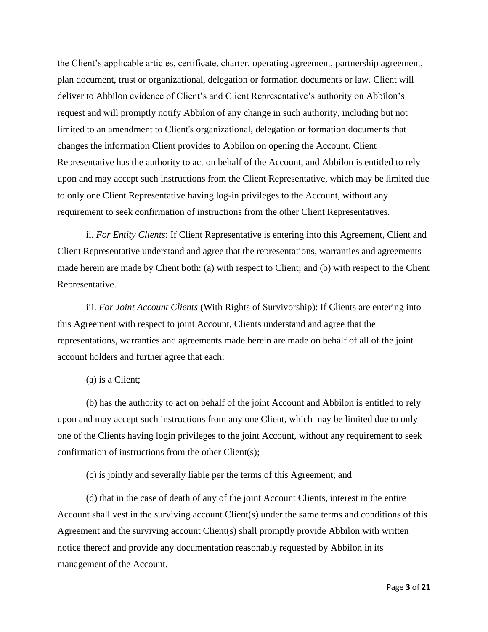the Client's applicable articles, certificate, charter, operating agreement, partnership agreement, plan document, trust or organizational, delegation or formation documents or law. Client will deliver to Abbilon evidence of Client's and Client Representative's authority on Abbilon's request and will promptly notify Abbilon of any change in such authority, including but not limited to an amendment to Client's organizational, delegation or formation documents that changes the information Client provides to Abbilon on opening the Account. Client Representative has the authority to act on behalf of the Account, and Abbilon is entitled to rely upon and may accept such instructions from the Client Representative, which may be limited due to only one Client Representative having log-in privileges to the Account, without any requirement to seek confirmation of instructions from the other Client Representatives.

ii. *For Entity Clients*: If Client Representative is entering into this Agreement, Client and Client Representative understand and agree that the representations, warranties and agreements made herein are made by Client both: (a) with respect to Client; and (b) with respect to the Client Representative.

iii. *For Joint Account Clients* (With Rights of Survivorship): If Clients are entering into this Agreement with respect to joint Account, Clients understand and agree that the representations, warranties and agreements made herein are made on behalf of all of the joint account holders and further agree that each:

(a) is a Client;

(b) has the authority to act on behalf of the joint Account and Abbilon is entitled to rely upon and may accept such instructions from any one Client, which may be limited due to only one of the Clients having login privileges to the joint Account, without any requirement to seek confirmation of instructions from the other Client(s);

(c) is jointly and severally liable per the terms of this Agreement; and

(d) that in the case of death of any of the joint Account Clients, interest in the entire Account shall vest in the surviving account Client(s) under the same terms and conditions of this Agreement and the surviving account Client(s) shall promptly provide Abbilon with written notice thereof and provide any documentation reasonably requested by Abbilon in its management of the Account.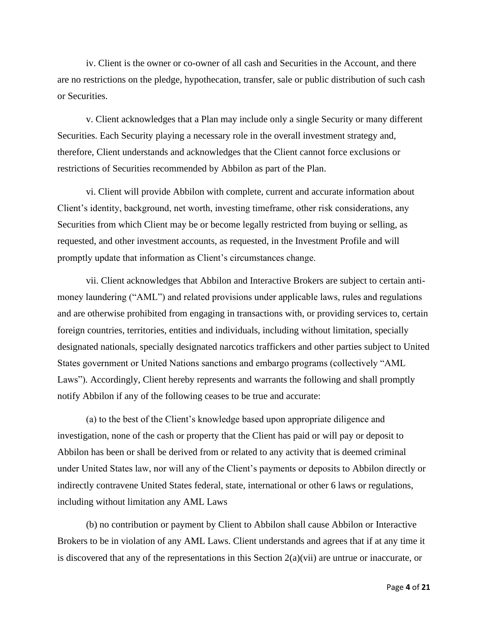iv. Client is the owner or co-owner of all cash and Securities in the Account, and there are no restrictions on the pledge, hypothecation, transfer, sale or public distribution of such cash or Securities.

v. Client acknowledges that a Plan may include only a single Security or many different Securities. Each Security playing a necessary role in the overall investment strategy and, therefore, Client understands and acknowledges that the Client cannot force exclusions or restrictions of Securities recommended by Abbilon as part of the Plan.

vi. Client will provide Abbilon with complete, current and accurate information about Client's identity, background, net worth, investing timeframe, other risk considerations, any Securities from which Client may be or become legally restricted from buying or selling, as requested, and other investment accounts, as requested, in the Investment Profile and will promptly update that information as Client's circumstances change.

vii. Client acknowledges that Abbilon and Interactive Brokers are subject to certain antimoney laundering ("AML") and related provisions under applicable laws, rules and regulations and are otherwise prohibited from engaging in transactions with, or providing services to, certain foreign countries, territories, entities and individuals, including without limitation, specially designated nationals, specially designated narcotics traffickers and other parties subject to United States government or United Nations sanctions and embargo programs (collectively "AML Laws"). Accordingly, Client hereby represents and warrants the following and shall promptly notify Abbilon if any of the following ceases to be true and accurate:

(a) to the best of the Client's knowledge based upon appropriate diligence and investigation, none of the cash or property that the Client has paid or will pay or deposit to Abbilon has been or shall be derived from or related to any activity that is deemed criminal under United States law, nor will any of the Client's payments or deposits to Abbilon directly or indirectly contravene United States federal, state, international or other 6 laws or regulations, including without limitation any AML Laws

(b) no contribution or payment by Client to Abbilon shall cause Abbilon or Interactive Brokers to be in violation of any AML Laws. Client understands and agrees that if at any time it is discovered that any of the representations in this Section 2(a)(vii) are untrue or inaccurate, or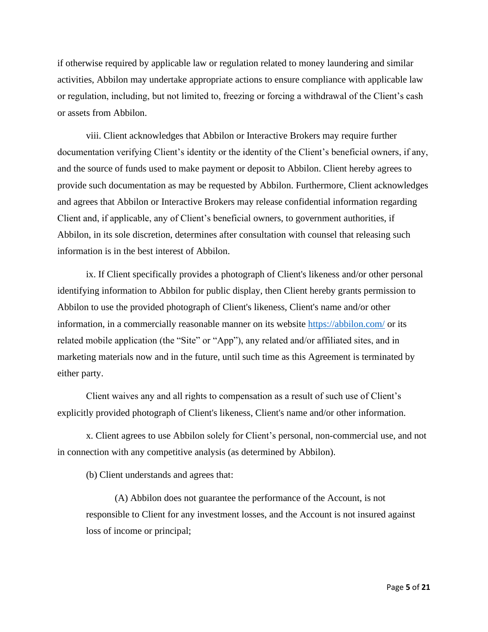if otherwise required by applicable law or regulation related to money laundering and similar activities, Abbilon may undertake appropriate actions to ensure compliance with applicable law or regulation, including, but not limited to, freezing or forcing a withdrawal of the Client's cash or assets from Abbilon.

viii. Client acknowledges that Abbilon or Interactive Brokers may require further documentation verifying Client's identity or the identity of the Client's beneficial owners, if any, and the source of funds used to make payment or deposit to Abbilon. Client hereby agrees to provide such documentation as may be requested by Abbilon. Furthermore, Client acknowledges and agrees that Abbilon or Interactive Brokers may release confidential information regarding Client and, if applicable, any of Client's beneficial owners, to government authorities, if Abbilon, in its sole discretion, determines after consultation with counsel that releasing such information is in the best interest of Abbilon.

ix. If Client specifically provides a photograph of Client's likeness and/or other personal identifying information to Abbilon for public display, then Client hereby grants permission to Abbilon to use the provided photograph of Client's likeness, Client's name and/or other information, in a commercially reasonable manner on its website<https://abbilon.com/> or its related mobile application (the "Site" or "App"), any related and/or affiliated sites, and in marketing materials now and in the future, until such time as this Agreement is terminated by either party.

Client waives any and all rights to compensation as a result of such use of Client's explicitly provided photograph of Client's likeness, Client's name and/or other information.

x. Client agrees to use Abbilon solely for Client's personal, non-commercial use, and not in connection with any competitive analysis (as determined by Abbilon).

(b) Client understands and agrees that:

(A) Abbilon does not guarantee the performance of the Account, is not responsible to Client for any investment losses, and the Account is not insured against loss of income or principal;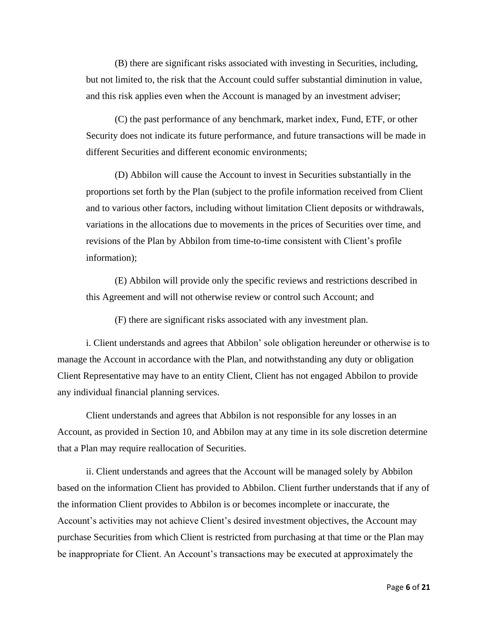(B) there are significant risks associated with investing in Securities, including, but not limited to, the risk that the Account could suffer substantial diminution in value, and this risk applies even when the Account is managed by an investment adviser;

(C) the past performance of any benchmark, market index, Fund, ETF, or other Security does not indicate its future performance, and future transactions will be made in different Securities and different economic environments;

(D) Abbilon will cause the Account to invest in Securities substantially in the proportions set forth by the Plan (subject to the profile information received from Client and to various other factors, including without limitation Client deposits or withdrawals, variations in the allocations due to movements in the prices of Securities over time, and revisions of the Plan by Abbilon from time-to-time consistent with Client's profile information);

(E) Abbilon will provide only the specific reviews and restrictions described in this Agreement and will not otherwise review or control such Account; and

(F) there are significant risks associated with any investment plan.

i. Client understands and agrees that Abbilon' sole obligation hereunder or otherwise is to manage the Account in accordance with the Plan, and notwithstanding any duty or obligation Client Representative may have to an entity Client, Client has not engaged Abbilon to provide any individual financial planning services.

Client understands and agrees that Abbilon is not responsible for any losses in an Account, as provided in Section 10, and Abbilon may at any time in its sole discretion determine that a Plan may require reallocation of Securities.

ii. Client understands and agrees that the Account will be managed solely by Abbilon based on the information Client has provided to Abbilon. Client further understands that if any of the information Client provides to Abbilon is or becomes incomplete or inaccurate, the Account's activities may not achieve Client's desired investment objectives, the Account may purchase Securities from which Client is restricted from purchasing at that time or the Plan may be inappropriate for Client. An Account's transactions may be executed at approximately the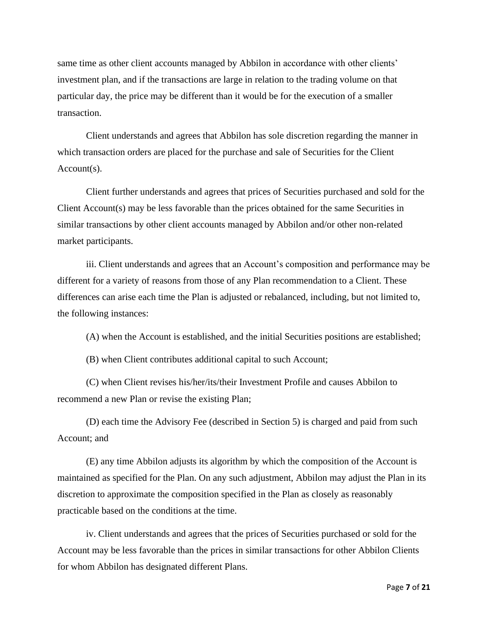same time as other client accounts managed by Abbilon in accordance with other clients' investment plan, and if the transactions are large in relation to the trading volume on that particular day, the price may be different than it would be for the execution of a smaller transaction.

Client understands and agrees that Abbilon has sole discretion regarding the manner in which transaction orders are placed for the purchase and sale of Securities for the Client Account(s).

Client further understands and agrees that prices of Securities purchased and sold for the Client Account(s) may be less favorable than the prices obtained for the same Securities in similar transactions by other client accounts managed by Abbilon and/or other non-related market participants.

iii. Client understands and agrees that an Account's composition and performance may be different for a variety of reasons from those of any Plan recommendation to a Client. These differences can arise each time the Plan is adjusted or rebalanced, including, but not limited to, the following instances:

(A) when the Account is established, and the initial Securities positions are established;

(B) when Client contributes additional capital to such Account;

(C) when Client revises his/her/its/their Investment Profile and causes Abbilon to recommend a new Plan or revise the existing Plan;

(D) each time the Advisory Fee (described in Section 5) is charged and paid from such Account; and

(E) any time Abbilon adjusts its algorithm by which the composition of the Account is maintained as specified for the Plan. On any such adjustment, Abbilon may adjust the Plan in its discretion to approximate the composition specified in the Plan as closely as reasonably practicable based on the conditions at the time.

iv. Client understands and agrees that the prices of Securities purchased or sold for the Account may be less favorable than the prices in similar transactions for other Abbilon Clients for whom Abbilon has designated different Plans.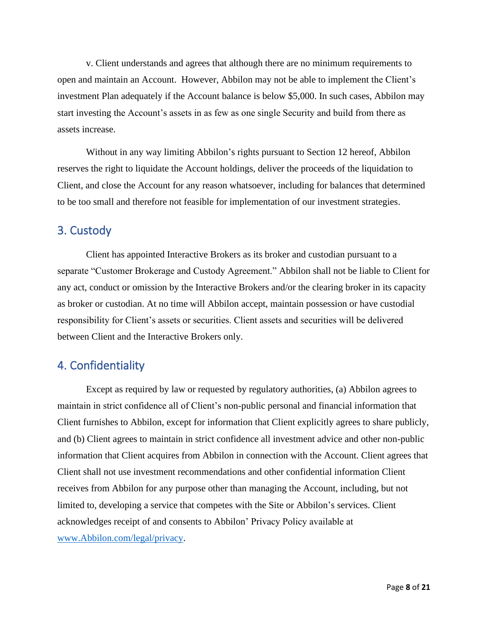v. Client understands and agrees that although there are no minimum requirements to open and maintain an Account. However, Abbilon may not be able to implement the Client's investment Plan adequately if the Account balance is below \$5,000. In such cases, Abbilon may start investing the Account's assets in as few as one single Security and build from there as assets increase.

Without in any way limiting Abbilon's rights pursuant to Section 12 hereof, Abbilon reserves the right to liquidate the Account holdings, deliver the proceeds of the liquidation to Client, and close the Account for any reason whatsoever, including for balances that determined to be too small and therefore not feasible for implementation of our investment strategies.

## 3. Custody

Client has appointed Interactive Brokers as its broker and custodian pursuant to a separate "Customer Brokerage and Custody Agreement." Abbilon shall not be liable to Client for any act, conduct or omission by the Interactive Brokers and/or the clearing broker in its capacity as broker or custodian. At no time will Abbilon accept, maintain possession or have custodial responsibility for Client's assets or securities. Client assets and securities will be delivered between Client and the Interactive Brokers only.

## 4. Confidentiality

Except as required by law or requested by regulatory authorities, (a) Abbilon agrees to maintain in strict confidence all of Client's non-public personal and financial information that Client furnishes to Abbilon, except for information that Client explicitly agrees to share publicly, and (b) Client agrees to maintain in strict confidence all investment advice and other non-public information that Client acquires from Abbilon in connection with the Account. Client agrees that Client shall not use investment recommendations and other confidential information Client receives from Abbilon for any purpose other than managing the Account, including, but not limited to, developing a service that competes with the Site or Abbilon's services. Client acknowledges receipt of and consents to Abbilon' Privacy Policy available at [www.Abbilon.com/legal/privacy.](http://www.abbilon.com/legal/privacy)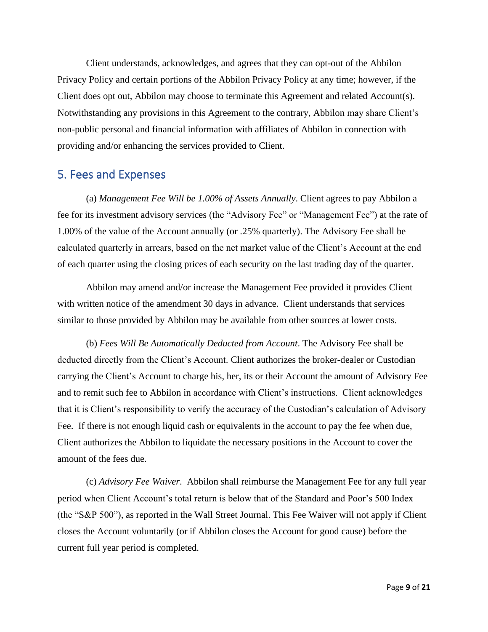Client understands, acknowledges, and agrees that they can opt-out of the Abbilon Privacy Policy and certain portions of the Abbilon Privacy Policy at any time; however, if the Client does opt out, Abbilon may choose to terminate this Agreement and related Account(s). Notwithstanding any provisions in this Agreement to the contrary, Abbilon may share Client's non-public personal and financial information with affiliates of Abbilon in connection with providing and/or enhancing the services provided to Client.

#### 5. Fees and Expenses

(a) *Management Fee Will be 1.00% of Assets Annually*. Client agrees to pay Abbilon a fee for its investment advisory services (the "Advisory Fee" or "Management Fee") at the rate of 1.00% of the value of the Account annually (or .25% quarterly). The Advisory Fee shall be calculated quarterly in arrears, based on the net market value of the Client's Account at the end of each quarter using the closing prices of each security on the last trading day of the quarter.

Abbilon may amend and/or increase the Management Fee provided it provides Client with written notice of the amendment 30 days in advance. Client understands that services similar to those provided by Abbilon may be available from other sources at lower costs.

(b) *Fees Will Be Automatically Deducted from Account*. The Advisory Fee shall be deducted directly from the Client's Account. Client authorizes the broker-dealer or Custodian carrying the Client's Account to charge his, her, its or their Account the amount of Advisory Fee and to remit such fee to Abbilon in accordance with Client's instructions. Client acknowledges that it is Client's responsibility to verify the accuracy of the Custodian's calculation of Advisory Fee. If there is not enough liquid cash or equivalents in the account to pay the fee when due, Client authorizes the Abbilon to liquidate the necessary positions in the Account to cover the amount of the fees due.

(c) *Advisory Fee Waiver*. Abbilon shall reimburse the Management Fee for any full year period when Client Account's total return is below that of the Standard and Poor's 500 Index (the "S&P 500"), as reported in the Wall Street Journal. This Fee Waiver will not apply if Client closes the Account voluntarily (or if Abbilon closes the Account for good cause) before the current full year period is completed.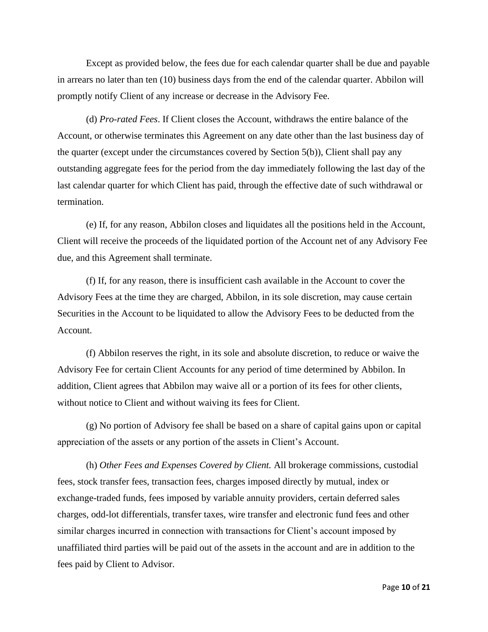Except as provided below, the fees due for each calendar quarter shall be due and payable in arrears no later than ten (10) business days from the end of the calendar quarter. Abbilon will promptly notify Client of any increase or decrease in the Advisory Fee.

(d) *Pro-rated Fees*. If Client closes the Account, withdraws the entire balance of the Account, or otherwise terminates this Agreement on any date other than the last business day of the quarter (except under the circumstances covered by Section 5(b)), Client shall pay any outstanding aggregate fees for the period from the day immediately following the last day of the last calendar quarter for which Client has paid, through the effective date of such withdrawal or termination.

(e) If, for any reason, Abbilon closes and liquidates all the positions held in the Account, Client will receive the proceeds of the liquidated portion of the Account net of any Advisory Fee due, and this Agreement shall terminate.

(f) If, for any reason, there is insufficient cash available in the Account to cover the Advisory Fees at the time they are charged, Abbilon, in its sole discretion, may cause certain Securities in the Account to be liquidated to allow the Advisory Fees to be deducted from the Account.

(f) Abbilon reserves the right, in its sole and absolute discretion, to reduce or waive the Advisory Fee for certain Client Accounts for any period of time determined by Abbilon. In addition, Client agrees that Abbilon may waive all or a portion of its fees for other clients, without notice to Client and without waiving its fees for Client.

(g) No portion of Advisory fee shall be based on a share of capital gains upon or capital appreciation of the assets or any portion of the assets in Client's Account.

(h) *Other Fees and Expenses Covered by Client.* All brokerage commissions, custodial fees, stock transfer fees, transaction fees, charges imposed directly by mutual, index or exchange-traded funds, fees imposed by variable annuity providers, certain deferred sales charges, odd-lot differentials, transfer taxes, wire transfer and electronic fund fees and other similar charges incurred in connection with transactions for Client's account imposed by unaffiliated third parties will be paid out of the assets in the account and are in addition to the fees paid by Client to Advisor.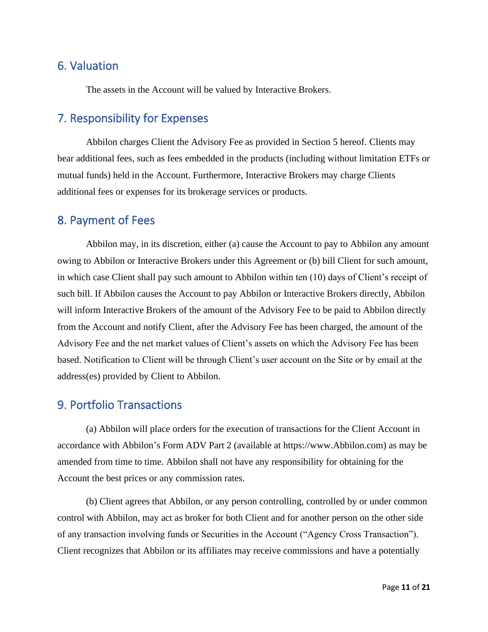## 6. Valuation

The assets in the Account will be valued by Interactive Brokers.

## 7. Responsibility for Expenses

Abbilon charges Client the Advisory Fee as provided in Section 5 hereof. Clients may bear additional fees, such as fees embedded in the products (including without limitation ETFs or mutual funds) held in the Account. Furthermore, Interactive Brokers may charge Clients additional fees or expenses for its brokerage services or products.

#### 8. Payment of Fees

Abbilon may, in its discretion, either (a) cause the Account to pay to Abbilon any amount owing to Abbilon or Interactive Brokers under this Agreement or (b) bill Client for such amount, in which case Client shall pay such amount to Abbilon within ten (10) days of Client's receipt of such bill. If Abbilon causes the Account to pay Abbilon or Interactive Brokers directly, Abbilon will inform Interactive Brokers of the amount of the Advisory Fee to be paid to Abbilon directly from the Account and notify Client, after the Advisory Fee has been charged, the amount of the Advisory Fee and the net market values of Client's assets on which the Advisory Fee has been based. Notification to Client will be through Client's user account on the Site or by email at the address(es) provided by Client to Abbilon.

#### 9. Portfolio Transactions

(a) Abbilon will place orders for the execution of transactions for the Client Account in accordance with Abbilon's Form ADV Part 2 (available at https://www.Abbilon.com) as may be amended from time to time. Abbilon shall not have any responsibility for obtaining for the Account the best prices or any commission rates.

(b) Client agrees that Abbilon, or any person controlling, controlled by or under common control with Abbilon, may act as broker for both Client and for another person on the other side of any transaction involving funds or Securities in the Account ("Agency Cross Transaction"). Client recognizes that Abbilon or its affiliates may receive commissions and have a potentially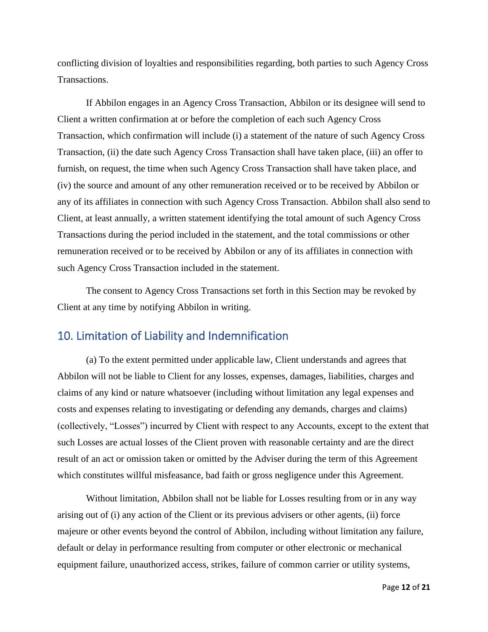conflicting division of loyalties and responsibilities regarding, both parties to such Agency Cross Transactions.

If Abbilon engages in an Agency Cross Transaction, Abbilon or its designee will send to Client a written confirmation at or before the completion of each such Agency Cross Transaction, which confirmation will include (i) a statement of the nature of such Agency Cross Transaction, (ii) the date such Agency Cross Transaction shall have taken place, (iii) an offer to furnish, on request, the time when such Agency Cross Transaction shall have taken place, and (iv) the source and amount of any other remuneration received or to be received by Abbilon or any of its affiliates in connection with such Agency Cross Transaction. Abbilon shall also send to Client, at least annually, a written statement identifying the total amount of such Agency Cross Transactions during the period included in the statement, and the total commissions or other remuneration received or to be received by Abbilon or any of its affiliates in connection with such Agency Cross Transaction included in the statement.

The consent to Agency Cross Transactions set forth in this Section may be revoked by Client at any time by notifying Abbilon in writing.

### 10. Limitation of Liability and Indemnification

(a) To the extent permitted under applicable law, Client understands and agrees that Abbilon will not be liable to Client for any losses, expenses, damages, liabilities, charges and claims of any kind or nature whatsoever (including without limitation any legal expenses and costs and expenses relating to investigating or defending any demands, charges and claims) (collectively, "Losses") incurred by Client with respect to any Accounts, except to the extent that such Losses are actual losses of the Client proven with reasonable certainty and are the direct result of an act or omission taken or omitted by the Adviser during the term of this Agreement which constitutes willful misfeasance, bad faith or gross negligence under this Agreement.

Without limitation, Abbilon shall not be liable for Losses resulting from or in any way arising out of (i) any action of the Client or its previous advisers or other agents, (ii) force majeure or other events beyond the control of Abbilon, including without limitation any failure, default or delay in performance resulting from computer or other electronic or mechanical equipment failure, unauthorized access, strikes, failure of common carrier or utility systems,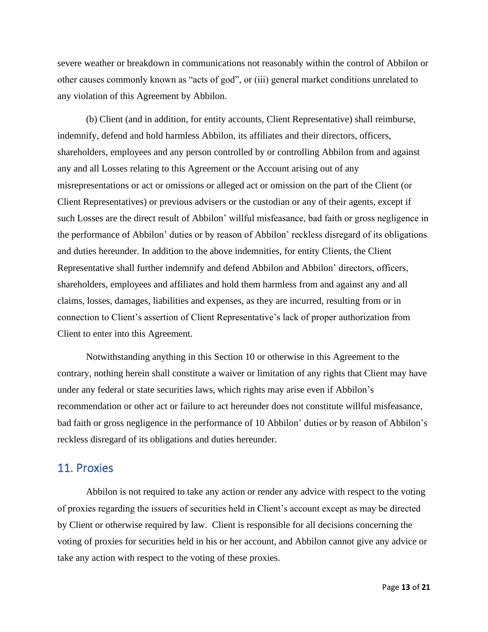severe weather or breakdown in communications not reasonably within the control of Abbilon or other causes commonly known as "acts of god", or (iii) general market conditions unrelated to any violation of this Agreement by Abbilon.

(b) Client (and in addition, for entity accounts, Client Representative) shall reimburse, indemnify, defend and hold harmless Abbilon, its affiliates and their directors, officers, shareholders, employees and any person controlled by or controlling Abbilon from and against any and all Losses relating to this Agreement or the Account arising out of any misrepresentations or act or omissions or alleged act or omission on the part of the Client (or Client Representatives) or previous advisers or the custodian or any of their agents, except if such Losses are the direct result of Abbilon' willful misfeasance, bad faith or gross negligence in the performance of Abbilon' duties or by reason of Abbilon' reckless disregard of its obligations and duties hereunder. In addition to the above indemnities, for entity Clients, the Client Representative shall further indemnify and defend Abbilon and Abbilon' directors, officers, shareholders, employees and affiliates and hold them harmless from and against any and all claims, losses, damages, liabilities and expenses, as they are incurred, resulting from or in connection to Client's assertion of Client Representative's lack of proper authorization from Client to enter into this Agreement.

Notwithstanding anything in this Section 10 or otherwise in this Agreement to the contrary, nothing herein shall constitute a waiver or limitation of any rights that Client may have under any federal or state securities laws, which rights may arise even if Abbilon's recommendation or other act or failure to act hereunder does not constitute willful misfeasance, bad faith or gross negligence in the performance of 10 Abbilon' duties or by reason of Abbilon's reckless disregard of its obligations and duties hereunder.

#### 11. Proxies

Abbilon is not required to take any action or render any advice with respect to the voting of proxies regarding the issuers of securities held in Client's account except as may be directed by Client or otherwise required by law. Client is responsible for all decisions concerning the voting of proxies for securities held in his or her account, and Abbilon cannot give any advice or take any action with respect to the voting of these proxies.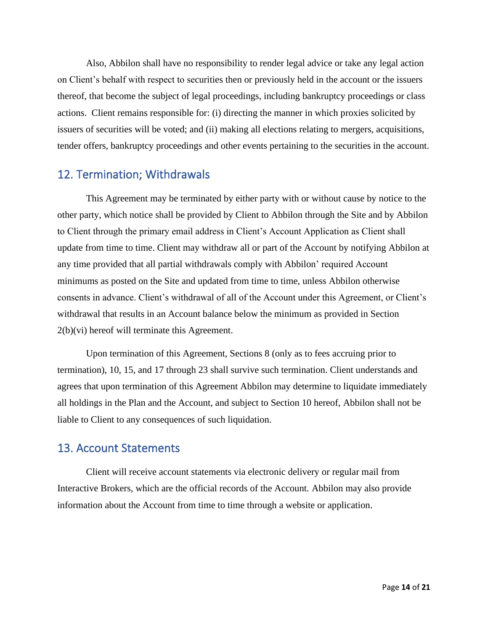Also, Abbilon shall have no responsibility to render legal advice or take any legal action on Client's behalf with respect to securities then or previously held in the account or the issuers thereof, that become the subject of legal proceedings, including bankruptcy proceedings or class actions. Client remains responsible for: (i) directing the manner in which proxies solicited by issuers of securities will be voted; and (ii) making all elections relating to mergers, acquisitions, tender offers, bankruptcy proceedings and other events pertaining to the securities in the account.

## 12. Termination; Withdrawals

This Agreement may be terminated by either party with or without cause by notice to the other party, which notice shall be provided by Client to Abbilon through the Site and by Abbilon to Client through the primary email address in Client's Account Application as Client shall update from time to time. Client may withdraw all or part of the Account by notifying Abbilon at any time provided that all partial withdrawals comply with Abbilon' required Account minimums as posted on the Site and updated from time to time, unless Abbilon otherwise consents in advance. Client's withdrawal of all of the Account under this Agreement, or Client's withdrawal that results in an Account balance below the minimum as provided in Section 2(b)(vi) hereof will terminate this Agreement.

Upon termination of this Agreement, Sections 8 (only as to fees accruing prior to termination), 10, 15, and 17 through 23 shall survive such termination. Client understands and agrees that upon termination of this Agreement Abbilon may determine to liquidate immediately all holdings in the Plan and the Account, and subject to Section 10 hereof, Abbilon shall not be liable to Client to any consequences of such liquidation.

#### 13. Account Statements

Client will receive account statements via electronic delivery or regular mail from Interactive Brokers, which are the official records of the Account. Abbilon may also provide information about the Account from time to time through a website or application.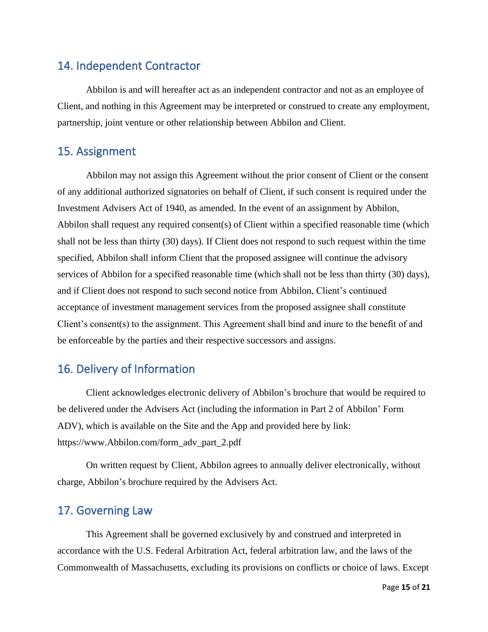## 14. Independent Contractor

Abbilon is and will hereafter act as an independent contractor and not as an employee of Client, and nothing in this Agreement may be interpreted or construed to create any employment, partnership, joint venture or other relationship between Abbilon and Client.

## 15. Assignment

Abbilon may not assign this Agreement without the prior consent of Client or the consent of any additional authorized signatories on behalf of Client, if such consent is required under the Investment Advisers Act of 1940, as amended. In the event of an assignment by Abbilon, Abbilon shall request any required consent(s) of Client within a specified reasonable time (which shall not be less than thirty (30) days). If Client does not respond to such request within the time specified, Abbilon shall inform Client that the proposed assignee will continue the advisory services of Abbilon for a specified reasonable time (which shall not be less than thirty (30) days), and if Client does not respond to such second notice from Abbilon, Client's continued acceptance of investment management services from the proposed assignee shall constitute Client's consent(s) to the assignment. This Agreement shall bind and inure to the benefit of and be enforceable by the parties and their respective successors and assigns.

## 16. Delivery of Information

Client acknowledges electronic delivery of Abbilon's brochure that would be required to be delivered under the Advisers Act (including the information in Part 2 of Abbilon' Form ADV), which is available on the Site and the App and provided here by link: https://www.Abbilon.com/form\_adv\_part\_2.pdf

On written request by Client, Abbilon agrees to annually deliver electronically, without charge, Abbilon's brochure required by the Advisers Act.

## 17. Governing Law

This Agreement shall be governed exclusively by and construed and interpreted in accordance with the U.S. Federal Arbitration Act, federal arbitration law, and the laws of the Commonwealth of Massachusetts, excluding its provisions on conflicts or choice of laws. Except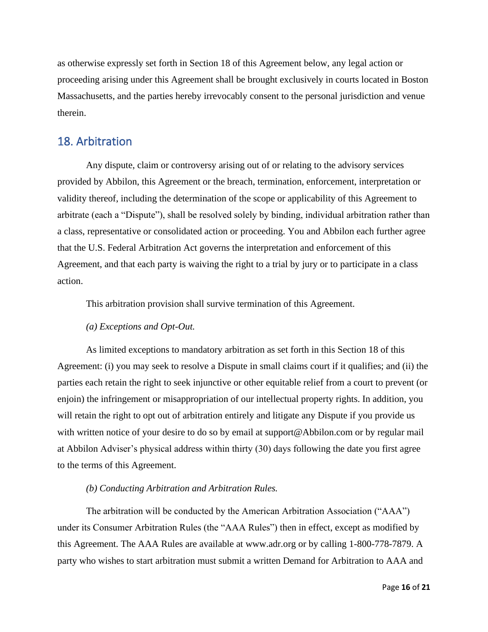as otherwise expressly set forth in Section 18 of this Agreement below, any legal action or proceeding arising under this Agreement shall be brought exclusively in courts located in Boston Massachusetts, and the parties hereby irrevocably consent to the personal jurisdiction and venue therein.

#### 18. Arbitration

Any dispute, claim or controversy arising out of or relating to the advisory services provided by Abbilon, this Agreement or the breach, termination, enforcement, interpretation or validity thereof, including the determination of the scope or applicability of this Agreement to arbitrate (each a "Dispute"), shall be resolved solely by binding, individual arbitration rather than a class, representative or consolidated action or proceeding. You and Abbilon each further agree that the U.S. Federal Arbitration Act governs the interpretation and enforcement of this Agreement, and that each party is waiving the right to a trial by jury or to participate in a class action.

This arbitration provision shall survive termination of this Agreement.

#### *(a) Exceptions and Opt-Out.*

As limited exceptions to mandatory arbitration as set forth in this Section 18 of this Agreement: (i) you may seek to resolve a Dispute in small claims court if it qualifies; and (ii) the parties each retain the right to seek injunctive or other equitable relief from a court to prevent (or enjoin) the infringement or misappropriation of our intellectual property rights. In addition, you will retain the right to opt out of arbitration entirely and litigate any Dispute if you provide us with written notice of your desire to do so by email at support@Abbilon.com or by regular mail at Abbilon Adviser's physical address within thirty (30) days following the date you first agree to the terms of this Agreement.

#### *(b) Conducting Arbitration and Arbitration Rules.*

The arbitration will be conducted by the American Arbitration Association ("AAA") under its Consumer Arbitration Rules (the "AAA Rules") then in effect, except as modified by this Agreement. The AAA Rules are available at www.adr.org or by calling 1-800-778-7879. A party who wishes to start arbitration must submit a written Demand for Arbitration to AAA and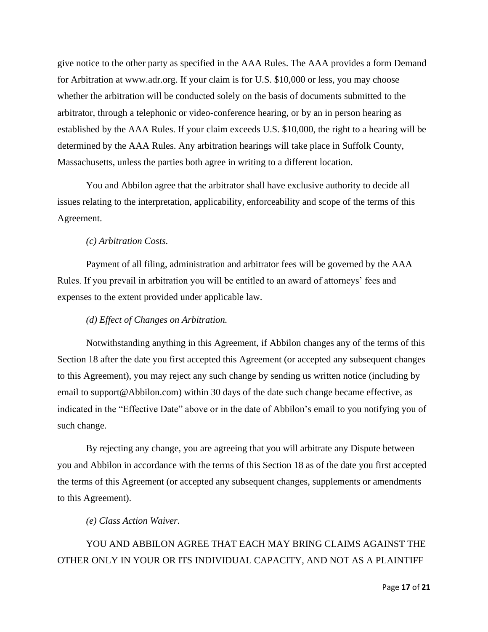give notice to the other party as specified in the AAA Rules. The AAA provides a form Demand for Arbitration at www.adr.org. If your claim is for U.S. \$10,000 or less, you may choose whether the arbitration will be conducted solely on the basis of documents submitted to the arbitrator, through a telephonic or video-conference hearing, or by an in person hearing as established by the AAA Rules. If your claim exceeds U.S. \$10,000, the right to a hearing will be determined by the AAA Rules. Any arbitration hearings will take place in Suffolk County, Massachusetts, unless the parties both agree in writing to a different location.

You and Abbilon agree that the arbitrator shall have exclusive authority to decide all issues relating to the interpretation, applicability, enforceability and scope of the terms of this Agreement.

#### *(c) Arbitration Costs.*

Payment of all filing, administration and arbitrator fees will be governed by the AAA Rules. If you prevail in arbitration you will be entitled to an award of attorneys' fees and expenses to the extent provided under applicable law.

#### *(d) Effect of Changes on Arbitration.*

Notwithstanding anything in this Agreement, if Abbilon changes any of the terms of this Section 18 after the date you first accepted this Agreement (or accepted any subsequent changes to this Agreement), you may reject any such change by sending us written notice (including by email to support@Abbilon.com) within 30 days of the date such change became effective, as indicated in the "Effective Date" above or in the date of Abbilon's email to you notifying you of such change.

By rejecting any change, you are agreeing that you will arbitrate any Dispute between you and Abbilon in accordance with the terms of this Section 18 as of the date you first accepted the terms of this Agreement (or accepted any subsequent changes, supplements or amendments to this Agreement).

#### *(e) Class Action Waiver.*

## YOU AND ABBILON AGREE THAT EACH MAY BRING CLAIMS AGAINST THE OTHER ONLY IN YOUR OR ITS INDIVIDUAL CAPACITY, AND NOT AS A PLAINTIFF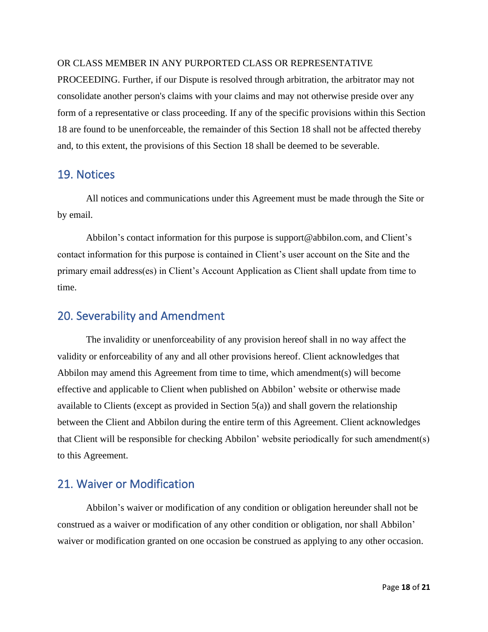#### OR CLASS MEMBER IN ANY PURPORTED CLASS OR REPRESENTATIVE

PROCEEDING. Further, if our Dispute is resolved through arbitration, the arbitrator may not consolidate another person's claims with your claims and may not otherwise preside over any form of a representative or class proceeding. If any of the specific provisions within this Section 18 are found to be unenforceable, the remainder of this Section 18 shall not be affected thereby and, to this extent, the provisions of this Section 18 shall be deemed to be severable.

#### 19. Notices

All notices and communications under this Agreement must be made through the Site or by email.

Abbilon's contact information for this purpose is support@abbilon.com, and Client's contact information for this purpose is contained in Client's user account on the Site and the primary email address(es) in Client's Account Application as Client shall update from time to time.

### 20. Severability and Amendment

The invalidity or unenforceability of any provision hereof shall in no way affect the validity or enforceability of any and all other provisions hereof. Client acknowledges that Abbilon may amend this Agreement from time to time, which amendment(s) will become effective and applicable to Client when published on Abbilon' website or otherwise made available to Clients (except as provided in Section 5(a)) and shall govern the relationship between the Client and Abbilon during the entire term of this Agreement. Client acknowledges that Client will be responsible for checking Abbilon' website periodically for such amendment(s) to this Agreement.

### 21. Waiver or Modification

Abbilon's waiver or modification of any condition or obligation hereunder shall not be construed as a waiver or modification of any other condition or obligation, nor shall Abbilon' waiver or modification granted on one occasion be construed as applying to any other occasion.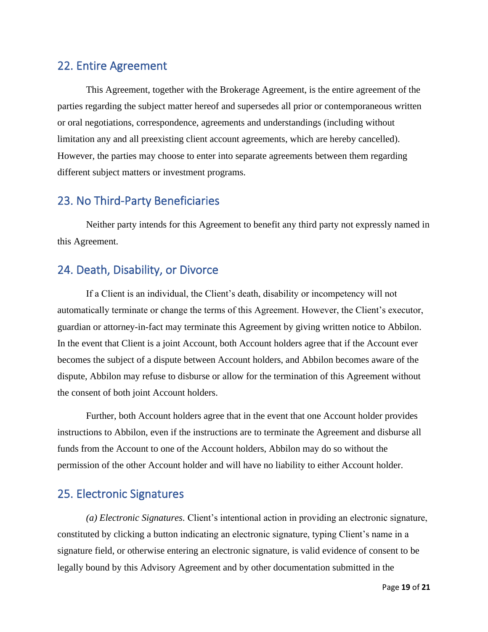### 22. Entire Agreement

This Agreement, together with the Brokerage Agreement, is the entire agreement of the parties regarding the subject matter hereof and supersedes all prior or contemporaneous written or oral negotiations, correspondence, agreements and understandings (including without limitation any and all preexisting client account agreements, which are hereby cancelled). However, the parties may choose to enter into separate agreements between them regarding different subject matters or investment programs.

### 23. No Third-Party Beneficiaries

Neither party intends for this Agreement to benefit any third party not expressly named in this Agreement.

## 24. Death, Disability, or Divorce

If a Client is an individual, the Client's death, disability or incompetency will not automatically terminate or change the terms of this Agreement. However, the Client's executor, guardian or attorney-in-fact may terminate this Agreement by giving written notice to Abbilon. In the event that Client is a joint Account, both Account holders agree that if the Account ever becomes the subject of a dispute between Account holders, and Abbilon becomes aware of the dispute, Abbilon may refuse to disburse or allow for the termination of this Agreement without the consent of both joint Account holders.

Further, both Account holders agree that in the event that one Account holder provides instructions to Abbilon, even if the instructions are to terminate the Agreement and disburse all funds from the Account to one of the Account holders, Abbilon may do so without the permission of the other Account holder and will have no liability to either Account holder.

## 25. Electronic Signatures

*(a) Electronic Signatures.* Client's intentional action in providing an electronic signature, constituted by clicking a button indicating an electronic signature, typing Client's name in a signature field, or otherwise entering an electronic signature, is valid evidence of consent to be legally bound by this Advisory Agreement and by other documentation submitted in the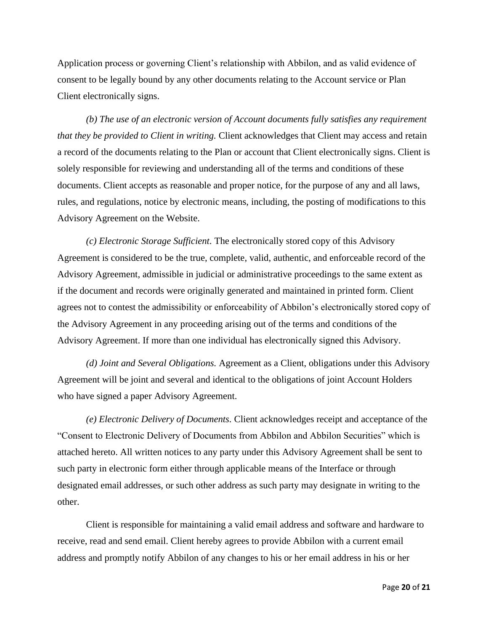Application process or governing Client's relationship with Abbilon, and as valid evidence of consent to be legally bound by any other documents relating to the Account service or Plan Client electronically signs.

*(b) The use of an electronic version of Account documents fully satisfies any requirement that they be provided to Client in writing.* Client acknowledges that Client may access and retain a record of the documents relating to the Plan or account that Client electronically signs. Client is solely responsible for reviewing and understanding all of the terms and conditions of these documents. Client accepts as reasonable and proper notice, for the purpose of any and all laws, rules, and regulations, notice by electronic means, including, the posting of modifications to this Advisory Agreement on the Website.

*(c) Electronic Storage Sufficient.* The electronically stored copy of this Advisory Agreement is considered to be the true, complete, valid, authentic, and enforceable record of the Advisory Agreement, admissible in judicial or administrative proceedings to the same extent as if the document and records were originally generated and maintained in printed form. Client agrees not to contest the admissibility or enforceability of Abbilon's electronically stored copy of the Advisory Agreement in any proceeding arising out of the terms and conditions of the Advisory Agreement. If more than one individual has electronically signed this Advisory.

*(d) Joint and Several Obligations.* Agreement as a Client, obligations under this Advisory Agreement will be joint and several and identical to the obligations of joint Account Holders who have signed a paper Advisory Agreement.

*(e) Electronic Delivery of Documents.* Client acknowledges receipt and acceptance of the "Consent to Electronic Delivery of Documents from Abbilon and Abbilon Securities" which is attached hereto. All written notices to any party under this Advisory Agreement shall be sent to such party in electronic form either through applicable means of the Interface or through designated email addresses, or such other address as such party may designate in writing to the other.

Client is responsible for maintaining a valid email address and software and hardware to receive, read and send email. Client hereby agrees to provide Abbilon with a current email address and promptly notify Abbilon of any changes to his or her email address in his or her